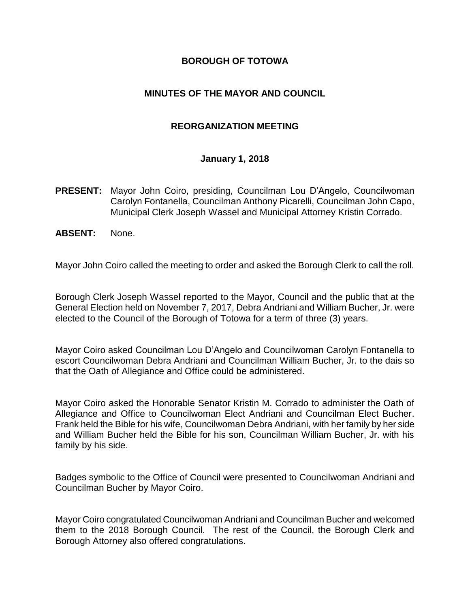#### **BOROUGH OF TOTOWA**

## **MINUTES OF THE MAYOR AND COUNCIL**

#### **REORGANIZATION MEETING**

#### **January 1, 2018**

- **PRESENT:** Mayor John Coiro, presiding, Councilman Lou D'Angelo, Councilwoman Carolyn Fontanella, Councilman Anthony Picarelli, Councilman John Capo, Municipal Clerk Joseph Wassel and Municipal Attorney Kristin Corrado.
- **ABSENT:** None.

Mayor John Coiro called the meeting to order and asked the Borough Clerk to call the roll.

Borough Clerk Joseph Wassel reported to the Mayor, Council and the public that at the General Election held on November 7, 2017, Debra Andriani and William Bucher, Jr. were elected to the Council of the Borough of Totowa for a term of three (3) years.

Mayor Coiro asked Councilman Lou D'Angelo and Councilwoman Carolyn Fontanella to escort Councilwoman Debra Andriani and Councilman William Bucher, Jr. to the dais so that the Oath of Allegiance and Office could be administered.

Mayor Coiro asked the Honorable Senator Kristin M. Corrado to administer the Oath of Allegiance and Office to Councilwoman Elect Andriani and Councilman Elect Bucher. Frank held the Bible for his wife, Councilwoman Debra Andriani, with her family by her side and William Bucher held the Bible for his son, Councilman William Bucher, Jr. with his family by his side.

Badges symbolic to the Office of Council were presented to Councilwoman Andriani and Councilman Bucher by Mayor Coiro.

Mayor Coiro congratulated Councilwoman Andriani and Councilman Bucher and welcomed them to the 2018 Borough Council. The rest of the Council, the Borough Clerk and Borough Attorney also offered congratulations.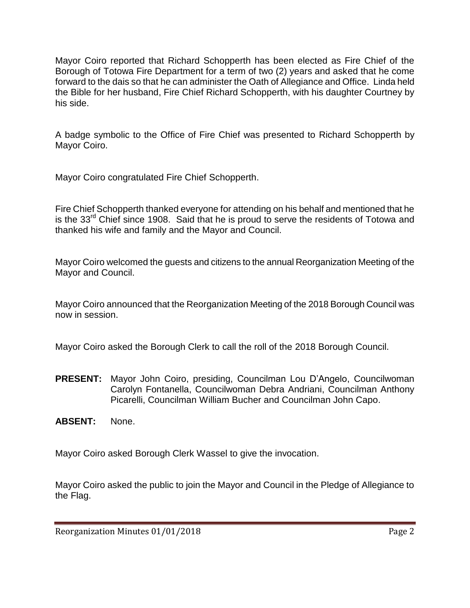Mayor Coiro reported that Richard Schopperth has been elected as Fire Chief of the Borough of Totowa Fire Department for a term of two (2) years and asked that he come forward to the dais so that he can administer the Oath of Allegiance and Office. Linda held the Bible for her husband, Fire Chief Richard Schopperth, with his daughter Courtney by his side.

A badge symbolic to the Office of Fire Chief was presented to Richard Schopperth by Mayor Coiro.

Mayor Coiro congratulated Fire Chief Schopperth.

Fire Chief Schopperth thanked everyone for attending on his behalf and mentioned that he is the 33<sup>rd</sup> Chief since 1908. Said that he is proud to serve the residents of Totowa and thanked his wife and family and the Mayor and Council.

Mayor Coiro welcomed the guests and citizens to the annual Reorganization Meeting of the Mayor and Council.

Mayor Coiro announced that the Reorganization Meeting of the 2018 Borough Council was now in session.

Mayor Coiro asked the Borough Clerk to call the roll of the 2018 Borough Council.

- **PRESENT:** Mayor John Coiro, presiding, Councilman Lou D'Angelo, Councilwoman Carolyn Fontanella, Councilwoman Debra Andriani, Councilman Anthony Picarelli, Councilman William Bucher and Councilman John Capo.
- **ABSENT:** None.

Mayor Coiro asked Borough Clerk Wassel to give the invocation.

Mayor Coiro asked the public to join the Mayor and Council in the Pledge of Allegiance to the Flag.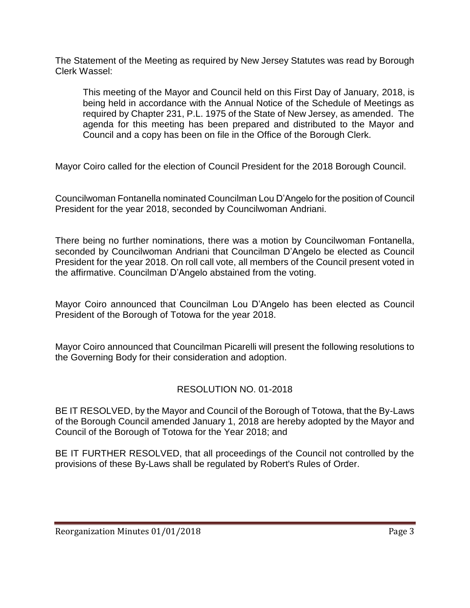The Statement of the Meeting as required by New Jersey Statutes was read by Borough Clerk Wassel:

This meeting of the Mayor and Council held on this First Day of January, 2018, is being held in accordance with the Annual Notice of the Schedule of Meetings as required by Chapter 231, P.L. 1975 of the State of New Jersey, as amended. The agenda for this meeting has been prepared and distributed to the Mayor and Council and a copy has been on file in the Office of the Borough Clerk.

Mayor Coiro called for the election of Council President for the 2018 Borough Council.

Councilwoman Fontanella nominated Councilman Lou D'Angelo for the position of Council President for the year 2018, seconded by Councilwoman Andriani.

There being no further nominations, there was a motion by Councilwoman Fontanella, seconded by Councilwoman Andriani that Councilman D'Angelo be elected as Council President for the year 2018. On roll call vote, all members of the Council present voted in the affirmative. Councilman D'Angelo abstained from the voting.

Mayor Coiro announced that Councilman Lou D'Angelo has been elected as Council President of the Borough of Totowa for the year 2018.

Mayor Coiro announced that Councilman Picarelli will present the following resolutions to the Governing Body for their consideration and adoption.

# RESOLUTION NO. 01-2018

BE IT RESOLVED, by the Mayor and Council of the Borough of Totowa, that the By-Laws of the Borough Council amended January 1, 2018 are hereby adopted by the Mayor and Council of the Borough of Totowa for the Year 2018; and

BE IT FURTHER RESOLVED, that all proceedings of the Council not controlled by the provisions of these By-Laws shall be regulated by Robert's Rules of Order.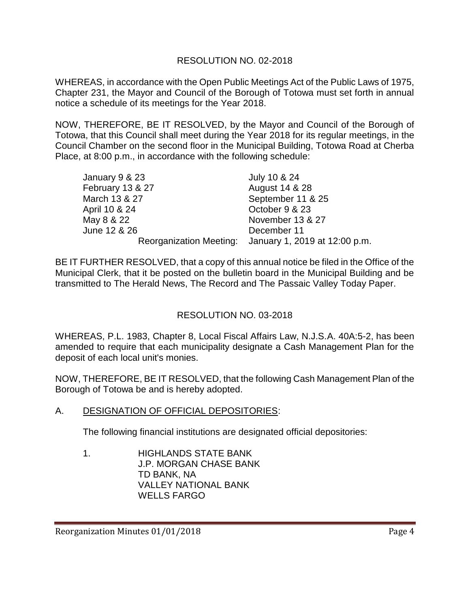# RESOLUTION NO. 02-2018

WHEREAS, in accordance with the Open Public Meetings Act of the Public Laws of 1975, Chapter 231, the Mayor and Council of the Borough of Totowa must set forth in annual notice a schedule of its meetings for the Year 2018.

NOW, THEREFORE, BE IT RESOLVED, by the Mayor and Council of the Borough of Totowa, that this Council shall meet during the Year 2018 for its regular meetings, in the Council Chamber on the second floor in the Municipal Building, Totowa Road at Cherba Place, at 8:00 p.m., in accordance with the following schedule:

| January 9 & 23   | July 10 & 24                                          |
|------------------|-------------------------------------------------------|
| February 13 & 27 | August 14 & 28                                        |
| March 13 & 27    | September 11 & 25                                     |
| April 10 & 24    | October 9 & 23                                        |
| May 8 & 22       | November 13 & 27                                      |
| June 12 & 26     | December 11                                           |
|                  | Reorganization Meeting: January 1, 2019 at 12:00 p.m. |

BE IT FURTHER RESOLVED, that a copy of this annual notice be filed in the Office of the Municipal Clerk, that it be posted on the bulletin board in the Municipal Building and be transmitted to The Herald News, The Record and The Passaic Valley Today Paper.

# RESOLUTION NO. 03-2018

WHEREAS, P.L. 1983, Chapter 8, Local Fiscal Affairs Law, N.J.S.A. 40A:5-2, has been amended to require that each municipality designate a Cash Management Plan for the deposit of each local unit's monies.

NOW, THEREFORE, BE IT RESOLVED, that the following Cash Management Plan of the Borough of Totowa be and is hereby adopted.

A. DESIGNATION OF OFFICIAL DEPOSITORIES:

The following financial institutions are designated official depositories:

1. HIGHLANDS STATE BANK J.P. MORGAN CHASE BANK TD BANK, NA VALLEY NATIONAL BANK WELLS FARGO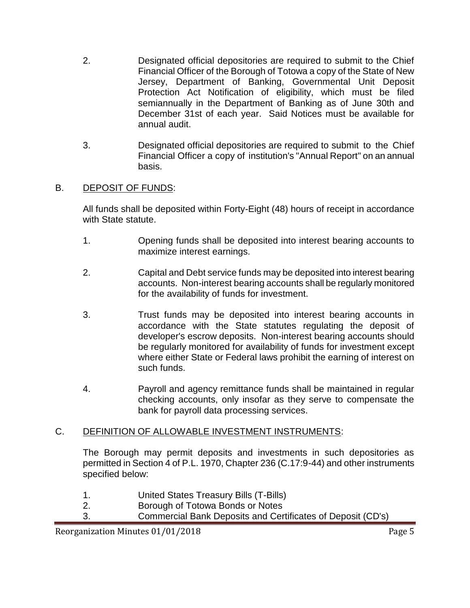- 2. Designated official depositories are required to submit to the Chief Financial Officer of the Borough of Totowa a copy of the State of New Jersey, Department of Banking, Governmental Unit Deposit Protection Act Notification of eligibility, which must be filed semiannually in the Department of Banking as of June 30th and December 31st of each year. Said Notices must be available for annual audit.
- 3. Designated official depositories are required to submit to the Chief Financial Officer a copy of institution's "Annual Report" on an annual basis.

#### B. DEPOSIT OF FUNDS:

All funds shall be deposited within Forty-Eight (48) hours of receipt in accordance with State statute.

- 1. Opening funds shall be deposited into interest bearing accounts to maximize interest earnings.
- 2. Capital and Debt service funds may be deposited into interest bearing accounts. Non-interest bearing accounts shall be regularly monitored for the availability of funds for investment.
- 3. Trust funds may be deposited into interest bearing accounts in accordance with the State statutes regulating the deposit of developer's escrow deposits. Non-interest bearing accounts should be regularly monitored for availability of funds for investment except where either State or Federal laws prohibit the earning of interest on such funds.
- 4. Payroll and agency remittance funds shall be maintained in regular checking accounts, only insofar as they serve to compensate the bank for payroll data processing services.

#### C. DEFINITION OF ALLOWABLE INVESTMENT INSTRUMENTS:

The Borough may permit deposits and investments in such depositories as permitted in Section 4 of P.L. 1970, Chapter 236 (C.17:9-44) and other instruments specified below:

- 1. United States Treasury Bills (T-Bills)
- 2. Borough of Totowa Bonds or Notes
- 3. Commercial Bank Deposits and Certificates of Deposit (CD's)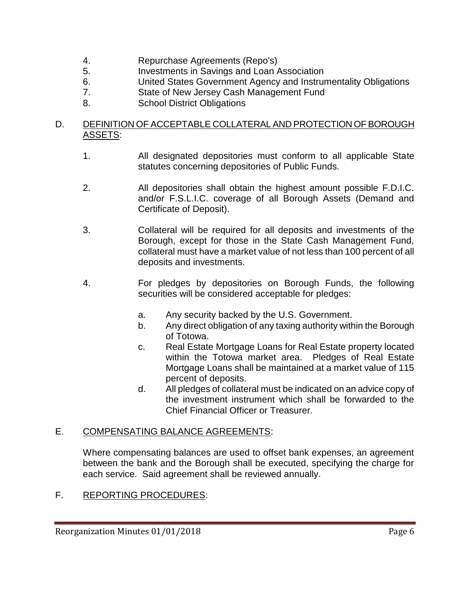- 4. Repurchase Agreements (Repo's)
- 5. Investments in Savings and Loan Association
- 6. United States Government Agency and Instrumentality Obligations
- 7. State of New Jersey Cash Management Fund
- 8. School District Obligations

# D. DEFINITION OF ACCEPTABLE COLLATERAL AND PROTECTION OF BOROUGH ASSE<u>TS</u>:

- 1. All designated depositories must conform to all applicable State statutes concerning depositories of Public Funds.
- 2. All depositories shall obtain the highest amount possible F.D.I.C. and/or F.S.L.I.C. coverage of all Borough Assets (Demand and Certificate of Deposit).
- 3. Collateral will be required for all deposits and investments of the Borough, except for those in the State Cash Management Fund, collateral must have a market value of not less than 100 percent of all deposits and investments.
- 4. For pledges by depositories on Borough Funds, the following securities will be considered acceptable for pledges:
	- a. Any security backed by the U.S. Government.
	- b. Any direct obligation of any taxing authority within the Borough of Totowa.
	- c. Real Estate Mortgage Loans for Real Estate property located within the Totowa market area. Pledges of Real Estate Mortgage Loans shall be maintained at a market value of 115 percent of deposits.
	- d. All pledges of collateral must be indicated on an advice copy of the investment instrument which shall be forwarded to the Chief Financial Officer or Treasurer.

# E. COMPENSATING BALANCE AGREEMENTS:

Where compensating balances are used to offset bank expenses, an agreement between the bank and the Borough shall be executed, specifying the charge for each service. Said agreement shall be reviewed annually.

# F. REPORTING PROCEDURES: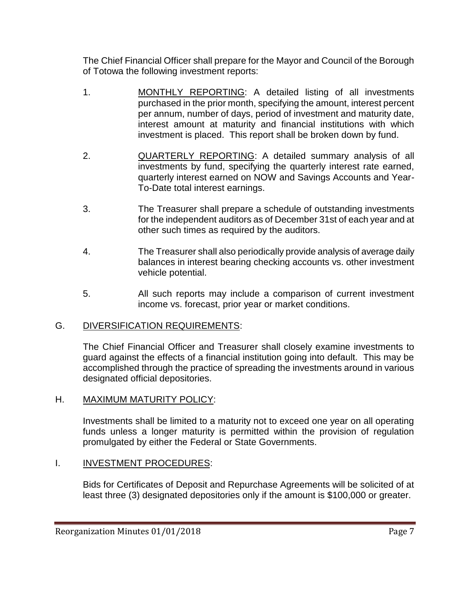The Chief Financial Officer shall prepare for the Mayor and Council of the Borough of Totowa the following investment reports:

- 1. MONTHLY REPORTING: A detailed listing of all investments purchased in the prior month, specifying the amount, interest percent per annum, number of days, period of investment and maturity date, interest amount at maturity and financial institutions with which investment is placed. This report shall be broken down by fund.
- 2. QUARTERLY REPORTING: A detailed summary analysis of all investments by fund, specifying the quarterly interest rate earned, quarterly interest earned on NOW and Savings Accounts and Year-To-Date total interest earnings.
- 3. The Treasurer shall prepare a schedule of outstanding investments for the independent auditors as of December 31st of each year and at other such times as required by the auditors.
- 4. The Treasurer shall also periodically provide analysis of average daily balances in interest bearing checking accounts vs. other investment vehicle potential.
- 5. All such reports may include a comparison of current investment income vs. forecast, prior year or market conditions.

# G. DIVERSIFICATION REQUIREMENTS:

The Chief Financial Officer and Treasurer shall closely examine investments to guard against the effects of a financial institution going into default. This may be accomplished through the practice of spreading the investments around in various designated official depositories.

# H. MAXIMUM MATURITY POLICY:

Investments shall be limited to a maturity not to exceed one year on all operating funds unless a longer maturity is permitted within the provision of regulation promulgated by either the Federal or State Governments.

# I. **INVESTMENT PROCEDURES:**

Bids for Certificates of Deposit and Repurchase Agreements will be solicited of at least three (3) designated depositories only if the amount is \$100,000 or greater.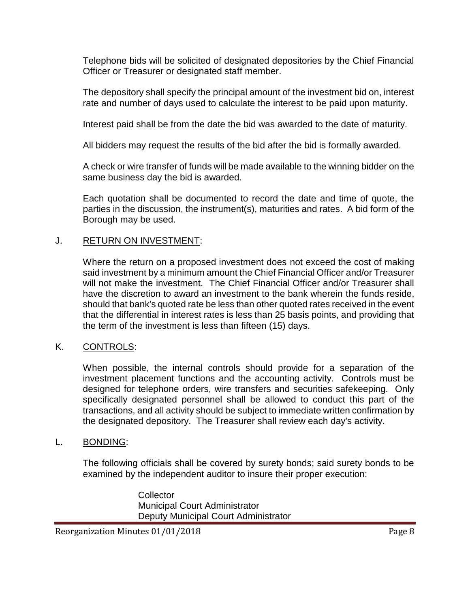Telephone bids will be solicited of designated depositories by the Chief Financial Officer or Treasurer or designated staff member.

The depository shall specify the principal amount of the investment bid on, interest rate and number of days used to calculate the interest to be paid upon maturity.

Interest paid shall be from the date the bid was awarded to the date of maturity.

All bidders may request the results of the bid after the bid is formally awarded.

A check or wire transfer of funds will be made available to the winning bidder on the same business day the bid is awarded.

Each quotation shall be documented to record the date and time of quote, the parties in the discussion, the instrument(s), maturities and rates. A bid form of the Borough may be used.

#### J. RETURN ON INVESTMENT:

Where the return on a proposed investment does not exceed the cost of making said investment by a minimum amount the Chief Financial Officer and/or Treasurer will not make the investment. The Chief Financial Officer and/or Treasurer shall have the discretion to award an investment to the bank wherein the funds reside, should that bank's quoted rate be less than other quoted rates received in the event that the differential in interest rates is less than 25 basis points, and providing that the term of the investment is less than fifteen (15) days.

# K. CONTROLS:

When possible, the internal controls should provide for a separation of the investment placement functions and the accounting activity. Controls must be designed for telephone orders, wire transfers and securities safekeeping. Only specifically designated personnel shall be allowed to conduct this part of the transactions, and all activity should be subject to immediate written confirmation by the designated depository. The Treasurer shall review each day's activity.

#### L. BONDING:

The following officials shall be covered by surety bonds; said surety bonds to be examined by the independent auditor to insure their proper execution:

> **Collector** Municipal Court Administrator Deputy Municipal Court Administrator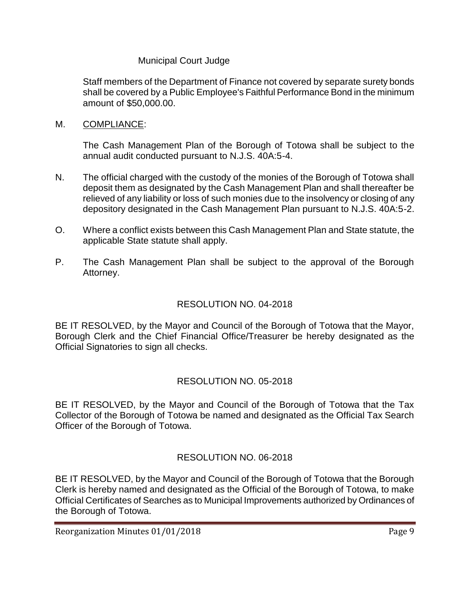# Municipal Court Judge

Staff members of the Department of Finance not covered by separate surety bonds shall be covered by a Public Employee's Faithful Performance Bond in the minimum amount of \$50,000.00.

M. COMPLIANCE:

The Cash Management Plan of the Borough of Totowa shall be subject to the annual audit conducted pursuant to N.J.S. 40A:5-4.

- N. The official charged with the custody of the monies of the Borough of Totowa shall deposit them as designated by the Cash Management Plan and shall thereafter be relieved of any liability or loss of such monies due to the insolvency or closing of any depository designated in the Cash Management Plan pursuant to N.J.S. 40A:5-2.
- O. Where a conflict exists between this Cash Management Plan and State statute, the applicable State statute shall apply.
- P. The Cash Management Plan shall be subject to the approval of the Borough Attorney.

# RESOLUTION NO. 04-2018

BE IT RESOLVED, by the Mayor and Council of the Borough of Totowa that the Mayor, Borough Clerk and the Chief Financial Office/Treasurer be hereby designated as the Official Signatories to sign all checks.

# RESOLUTION NO. 05-2018

BE IT RESOLVED, by the Mayor and Council of the Borough of Totowa that the Tax Collector of the Borough of Totowa be named and designated as the Official Tax Search Officer of the Borough of Totowa.

# RESOLUTION NO. 06-2018

BE IT RESOLVED, by the Mayor and Council of the Borough of Totowa that the Borough Clerk is hereby named and designated as the Official of the Borough of Totowa, to make Official Certificates of Searches as to Municipal Improvements authorized by Ordinances of the Borough of Totowa.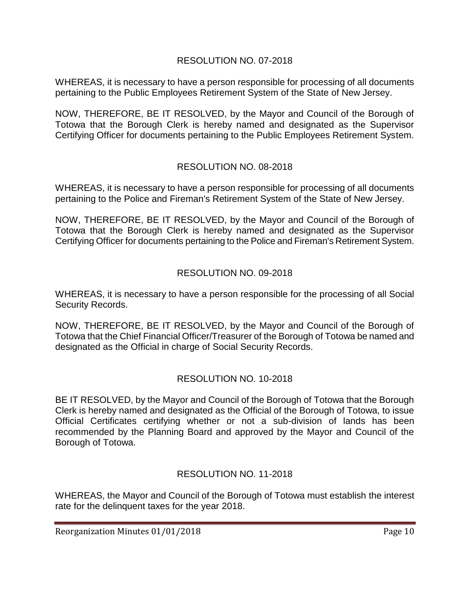# RESOLUTION NO. 07-2018

WHEREAS, it is necessary to have a person responsible for processing of all documents pertaining to the Public Employees Retirement System of the State of New Jersey.

NOW, THEREFORE, BE IT RESOLVED, by the Mayor and Council of the Borough of Totowa that the Borough Clerk is hereby named and designated as the Supervisor Certifying Officer for documents pertaining to the Public Employees Retirement System.

# RESOLUTION NO. 08-2018

WHEREAS, it is necessary to have a person responsible for processing of all documents pertaining to the Police and Fireman's Retirement System of the State of New Jersey.

NOW, THEREFORE, BE IT RESOLVED, by the Mayor and Council of the Borough of Totowa that the Borough Clerk is hereby named and designated as the Supervisor Certifying Officer for documents pertaining to the Police and Fireman's Retirement System.

# RESOLUTION NO. 09-2018

WHEREAS, it is necessary to have a person responsible for the processing of all Social Security Records.

NOW, THEREFORE, BE IT RESOLVED, by the Mayor and Council of the Borough of Totowa that the Chief Financial Officer/Treasurer of the Borough of Totowa be named and designated as the Official in charge of Social Security Records.

# RESOLUTION NO. 10-2018

BE IT RESOLVED, by the Mayor and Council of the Borough of Totowa that the Borough Clerk is hereby named and designated as the Official of the Borough of Totowa, to issue Official Certificates certifying whether or not a sub-division of lands has been recommended by the Planning Board and approved by the Mayor and Council of the Borough of Totowa.

# RESOLUTION NO. 11-2018

WHEREAS, the Mayor and Council of the Borough of Totowa must establish the interest rate for the delinquent taxes for the year 2018.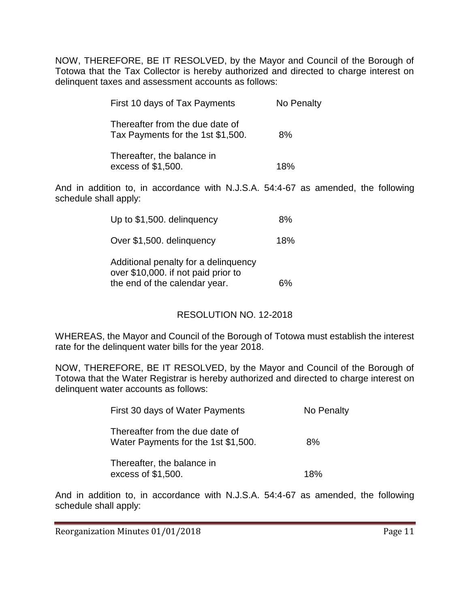NOW, THEREFORE, BE IT RESOLVED, by the Mayor and Council of the Borough of Totowa that the Tax Collector is hereby authorized and directed to charge interest on delinquent taxes and assessment accounts as follows:

| First 10 days of Tax Payments                                        | No Penalty |
|----------------------------------------------------------------------|------------|
| Thereafter from the due date of<br>Tax Payments for the 1st \$1,500. | 8%         |
| Thereafter, the balance in<br>excess of \$1,500.                     | 18%        |

And in addition to, in accordance with N.J.S.A. 54:4-67 as amended, the following schedule shall apply:

| Up to \$1,500. delinguency                                                                                   | 8%  |
|--------------------------------------------------------------------------------------------------------------|-----|
| Over \$1,500. delinquency                                                                                    | 18% |
| Additional penalty for a delinquency<br>over \$10,000. if not paid prior to<br>the end of the calendar year. |     |

# RESOLUTION NO. 12-2018

WHEREAS, the Mayor and Council of the Borough of Totowa must establish the interest rate for the delinquent water bills for the year 2018.

NOW, THEREFORE, BE IT RESOLVED, by the Mayor and Council of the Borough of Totowa that the Water Registrar is hereby authorized and directed to charge interest on delinquent water accounts as follows:

| First 30 days of Water Payments                                        | No Penalty |
|------------------------------------------------------------------------|------------|
| Thereafter from the due date of<br>Water Payments for the 1st \$1,500. | 8%         |
| Thereafter, the balance in<br>excess of \$1,500.                       | 18%        |

And in addition to, in accordance with N.J.S.A. 54:4-67 as amended, the following schedule shall apply: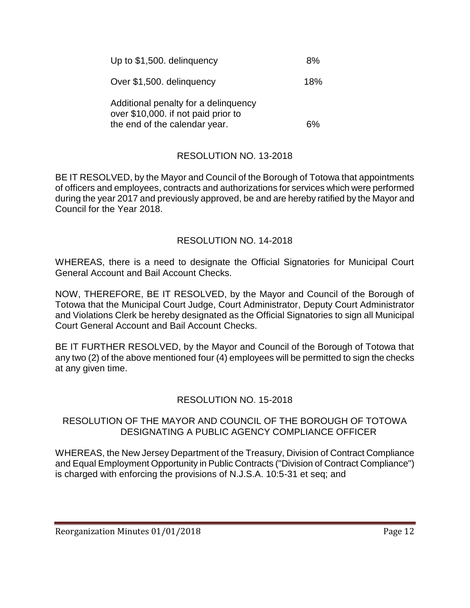| Up to \$1,500. delinguency                                                  | 8%  |
|-----------------------------------------------------------------------------|-----|
| Over \$1,500. delinguency                                                   | 18% |
| Additional penalty for a delinguency<br>over \$10,000. if not paid prior to |     |
| the end of the calendar year.                                               |     |

# RESOLUTION NO. 13-2018

BE IT RESOLVED, by the Mayor and Council of the Borough of Totowa that appointments of officers and employees, contracts and authorizations for services which were performed during the year 2017 and previously approved, be and are hereby ratified by the Mayor and Council for the Year 2018.

# RESOLUTION NO. 14-2018

WHEREAS, there is a need to designate the Official Signatories for Municipal Court General Account and Bail Account Checks.

NOW, THEREFORE, BE IT RESOLVED, by the Mayor and Council of the Borough of Totowa that the Municipal Court Judge, Court Administrator, Deputy Court Administrator and Violations Clerk be hereby designated as the Official Signatories to sign all Municipal Court General Account and Bail Account Checks.

BE IT FURTHER RESOLVED, by the Mayor and Council of the Borough of Totowa that any two (2) of the above mentioned four (4) employees will be permitted to sign the checks at any given time.

# RESOLUTION NO. 15-2018

#### RESOLUTION OF THE MAYOR AND COUNCIL OF THE BOROUGH OF TOTOWA DESIGNATING A PUBLIC AGENCY COMPLIANCE OFFICER

WHEREAS, the New Jersey Department of the Treasury, Division of Contract Compliance and Equal Employment Opportunity in Public Contracts ("Division of Contract Compliance") is charged with enforcing the provisions of N.J.S.A. 10:5-31 et seq; and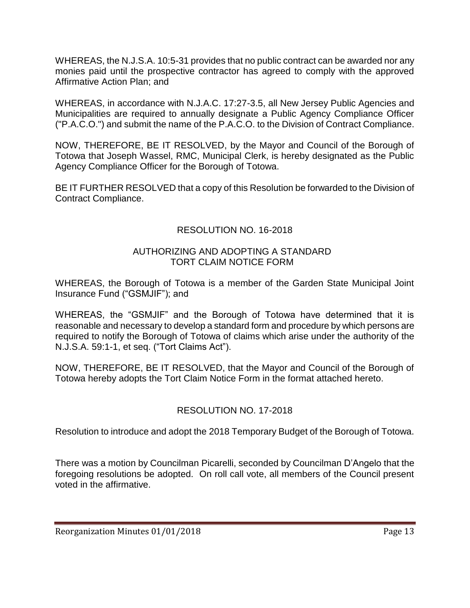WHEREAS, the N.J.S.A. 10:5-31 provides that no public contract can be awarded nor any monies paid until the prospective contractor has agreed to comply with the approved Affirmative Action Plan; and

WHEREAS, in accordance with N.J.A.C. 17:27-3.5, all New Jersey Public Agencies and Municipalities are required to annually designate a Public Agency Compliance Officer ("P.A.C.O.") and submit the name of the P.A.C.O. to the Division of Contract Compliance.

NOW, THEREFORE, BE IT RESOLVED, by the Mayor and Council of the Borough of Totowa that Joseph Wassel, RMC, Municipal Clerk, is hereby designated as the Public Agency Compliance Officer for the Borough of Totowa.

BE IT FURTHER RESOLVED that a copy of this Resolution be forwarded to the Division of Contract Compliance.

# RESOLUTION NO. 16-2018

#### AUTHORIZING AND ADOPTING A STANDARD TORT CLAIM NOTICE FORM

WHEREAS, the Borough of Totowa is a member of the Garden State Municipal Joint Insurance Fund ("GSMJIF"); and

WHEREAS, the "GSMJIF" and the Borough of Totowa have determined that it is reasonable and necessary to develop a standard form and procedure by which persons are required to notify the Borough of Totowa of claims which arise under the authority of the N.J.S.A. 59:1-1, et seq. ("Tort Claims Act").

NOW, THEREFORE, BE IT RESOLVED, that the Mayor and Council of the Borough of Totowa hereby adopts the Tort Claim Notice Form in the format attached hereto.

# RESOLUTION NO. 17-2018

Resolution to introduce and adopt the 2018 Temporary Budget of the Borough of Totowa.

There was a motion by Councilman Picarelli, seconded by Councilman D'Angelo that the foregoing resolutions be adopted. On roll call vote, all members of the Council present voted in the affirmative.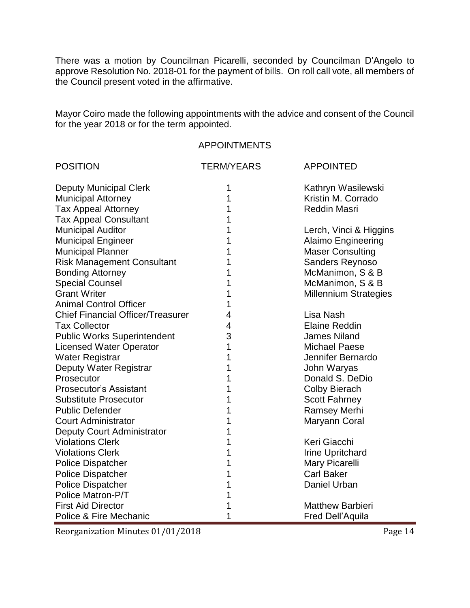There was a motion by Councilman Picarelli, seconded by Councilman D'Angelo to approve Resolution No. 2018-01 for the payment of bills. On roll call vote, all members of the Council present voted in the affirmative.

Mayor Coiro made the following appointments with the advice and consent of the Council for the year 2018 or for the term appointed.

#### APPOINTMENTS

| <b>POSITION</b>                                       | <b>TERM/YEARS</b> | <b>APPOINTED</b>                    |
|-------------------------------------------------------|-------------------|-------------------------------------|
| <b>Deputy Municipal Clerk</b>                         | 1                 | Kathryn Wasilewski                  |
| <b>Municipal Attorney</b>                             | 1                 | Kristin M. Corrado                  |
| <b>Tax Appeal Attorney</b>                            | 1                 | <b>Reddin Masri</b>                 |
| <b>Tax Appeal Consultant</b>                          |                   |                                     |
| <b>Municipal Auditor</b>                              | 1                 | Lerch, Vinci & Higgins              |
| <b>Municipal Engineer</b>                             | 1                 | <b>Alaimo Engineering</b>           |
| <b>Municipal Planner</b>                              |                   | <b>Maser Consulting</b>             |
| <b>Risk Management Consultant</b>                     | 1                 | Sanders Reynoso                     |
| <b>Bonding Attorney</b>                               |                   | McManimon, S & B                    |
| <b>Special Counsel</b>                                | 1                 | McManimon, S & B                    |
| <b>Grant Writer</b>                                   | 1                 | <b>Millennium Strategies</b>        |
| <b>Animal Control Officer</b>                         | 1                 |                                     |
| <b>Chief Financial Officer/Treasurer</b>              | 4                 | Lisa Nash                           |
| <b>Tax Collector</b>                                  | 4                 | <b>Elaine Reddin</b>                |
| <b>Public Works Superintendent</b>                    | 3                 | <b>James Niland</b>                 |
| <b>Licensed Water Operator</b>                        | 1                 | <b>Michael Paese</b>                |
| Water Registrar                                       | 1                 | Jennifer Bernardo                   |
| Deputy Water Registrar                                | 1                 | John Waryas                         |
| Prosecutor                                            |                   | Donald S. DeDio                     |
| <b>Prosecutor's Assistant</b>                         | 1                 | <b>Colby Bierach</b>                |
| <b>Substitute Prosecutor</b>                          | 1                 | <b>Scott Fahrney</b>                |
| <b>Public Defender</b>                                | 1                 | <b>Ramsey Merhi</b>                 |
| <b>Court Administrator</b>                            | 1                 | Maryann Coral                       |
| Deputy Court Administrator<br><b>Violations Clerk</b> |                   | Keri Giacchi                        |
|                                                       | 1                 |                                     |
| <b>Violations Clerk</b>                               | 1                 | <b>Irine Upritchard</b>             |
| <b>Police Dispatcher</b>                              | 1                 | Mary Picarelli<br><b>Carl Baker</b> |
| <b>Police Dispatcher</b>                              | 1                 | Daniel Urban                        |
| <b>Police Dispatcher</b><br>Police Matron-P/T         |                   |                                     |
|                                                       |                   |                                     |
| <b>First Aid Director</b>                             | 1                 | <b>Matthew Barbieri</b>             |
| Police & Fire Mechanic                                |                   | Fred Dell'Aquila                    |

Reorganization Minutes 01/01/2018 entitled to the Page 14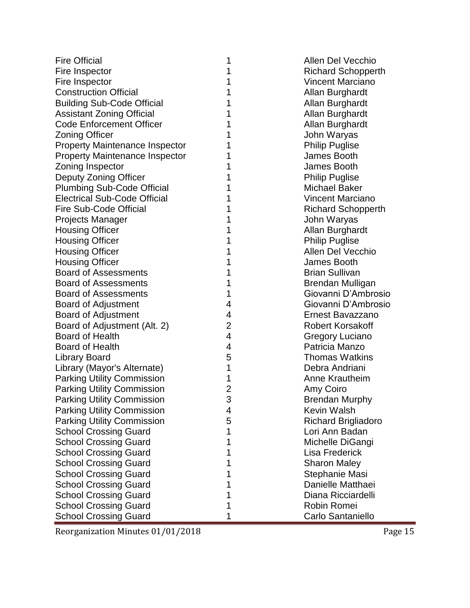| <b>Fire Official</b>                  | 1              | Allen Del Vecchio          |
|---------------------------------------|----------------|----------------------------|
| Fire Inspector                        | 1              | <b>Richard Schopperth</b>  |
| Fire Inspector                        | 1              | <b>Vincent Marciano</b>    |
| <b>Construction Official</b>          | 1              | Allan Burghardt            |
| <b>Building Sub-Code Official</b>     | 1              | Allan Burghardt            |
| <b>Assistant Zoning Official</b>      | 1              | Allan Burghardt            |
| <b>Code Enforcement Officer</b>       | 1              | Allan Burghardt            |
| <b>Zoning Officer</b>                 | 1              | John Waryas                |
| <b>Property Maintenance Inspector</b> | 1              | <b>Philip Puglise</b>      |
| <b>Property Maintenance Inspector</b> | 1              | James Booth                |
| Zoning Inspector                      | 1              | James Booth                |
| Deputy Zoning Officer                 | 1              | <b>Philip Puglise</b>      |
| <b>Plumbing Sub-Code Official</b>     | 1              | <b>Michael Baker</b>       |
| <b>Electrical Sub-Code Official</b>   | 1              | <b>Vincent Marciano</b>    |
| <b>Fire Sub-Code Official</b>         | 1              | <b>Richard Schopperth</b>  |
| <b>Projects Manager</b>               | 1              | John Waryas                |
| <b>Housing Officer</b>                | 1              | Allan Burghardt            |
| <b>Housing Officer</b>                | 1              | <b>Philip Puglise</b>      |
| <b>Housing Officer</b>                | 1              | <b>Allen Del Vecchio</b>   |
| <b>Housing Officer</b>                | 1              | James Booth                |
| <b>Board of Assessments</b>           | 1              | <b>Brian Sullivan</b>      |
| <b>Board of Assessments</b>           | 1              | Brendan Mulligan           |
| <b>Board of Assessments</b>           | 1              | Giovanni D'Ambrosio        |
| Board of Adjustment                   | 4              | Giovanni D'Ambrosio        |
| <b>Board of Adjustment</b>            | 4              | Ernest Bavazzano           |
| Board of Adjustment (Alt. 2)          | $\overline{2}$ | <b>Robert Korsakoff</b>    |
| <b>Board of Health</b>                | $\overline{4}$ | Gregory Luciano            |
| <b>Board of Health</b>                | 4              | Patricia Manzo             |
| <b>Library Board</b>                  | 5              | <b>Thomas Watkins</b>      |
| Library (Mayor's Alternate)           | 1              | Debra Andriani             |
| <b>Parking Utility Commission</b>     | 1              | Anne Krautheim             |
| <b>Parking Utility Commission</b>     | $\overline{2}$ | Amy Coiro                  |
| <b>Parking Utility Commission</b>     | 3              | <b>Brendan Murphy</b>      |
| <b>Parking Utility Commission</b>     | 4              | Kevin Walsh                |
| <b>Parking Utility Commission</b>     | 5              | <b>Richard Brigliadoro</b> |
| <b>School Crossing Guard</b>          | 1              | Lori Ann Badan             |
| <b>School Crossing Guard</b>          | 1              | Michelle DiGangi           |
| <b>School Crossing Guard</b>          | 1              | <b>Lisa Frederick</b>      |
| <b>School Crossing Guard</b>          | 1              | <b>Sharon Maley</b>        |
| <b>School Crossing Guard</b>          | 1              | Stephanie Masi             |
| <b>School Crossing Guard</b>          | 1              | Danielle Matthaei          |
| <b>School Crossing Guard</b>          | 1              | Diana Ricciardelli         |
| <b>School Crossing Guard</b>          | 1              | Robin Romei                |
| <b>School Crossing Guard</b>          | 1              | Carlo Santaniello          |

Reorganization Minutes 01/01/2018 Page 15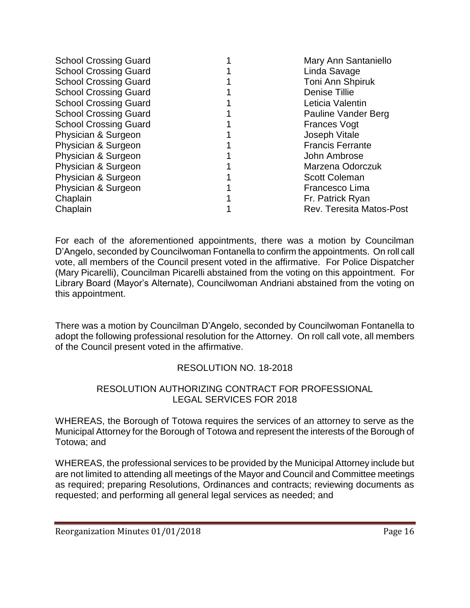| <b>School Crossing Guard</b> | Mary Ann Santaniello            |
|------------------------------|---------------------------------|
| <b>School Crossing Guard</b> | Linda Savage                    |
| <b>School Crossing Guard</b> | Toni Ann Shpiruk                |
| <b>School Crossing Guard</b> | <b>Denise Tillie</b>            |
| <b>School Crossing Guard</b> | Leticia Valentin                |
| <b>School Crossing Guard</b> | Pauline Vander Berg             |
| <b>School Crossing Guard</b> | <b>Frances Vogt</b>             |
| Physician & Surgeon          | Joseph Vitale                   |
| Physician & Surgeon          | <b>Francis Ferrante</b>         |
| Physician & Surgeon          | John Ambrose                    |
| Physician & Surgeon          | Marzena Odorczuk                |
| Physician & Surgeon          | <b>Scott Coleman</b>            |
| Physician & Surgeon          | Francesco Lima                  |
| Chaplain                     | Fr. Patrick Ryan                |
| Chaplain                     | <b>Rev. Teresita Matos-Post</b> |
|                              |                                 |

For each of the aforementioned appointments, there was a motion by Councilman D'Angelo, seconded by Councilwoman Fontanella to confirm the appointments. On roll call vote, all members of the Council present voted in the affirmative. For Police Dispatcher (Mary Picarelli), Councilman Picarelli abstained from the voting on this appointment. For Library Board (Mayor's Alternate), Councilwoman Andriani abstained from the voting on this appointment.

There was a motion by Councilman D'Angelo, seconded by Councilwoman Fontanella to adopt the following professional resolution for the Attorney. On roll call vote, all members of the Council present voted in the affirmative.

# RESOLUTION NO. 18-2018

# RESOLUTION AUTHORIZING CONTRACT FOR PROFESSIONAL LEGAL SERVICES FOR 2018

WHEREAS, the Borough of Totowa requires the services of an attorney to serve as the Municipal Attorney for the Borough of Totowa and represent the interests of the Borough of Totowa; and

WHEREAS, the professional services to be provided by the Municipal Attorney include but are not limited to attending all meetings of the Mayor and Council and Committee meetings as required; preparing Resolutions, Ordinances and contracts; reviewing documents as requested; and performing all general legal services as needed; and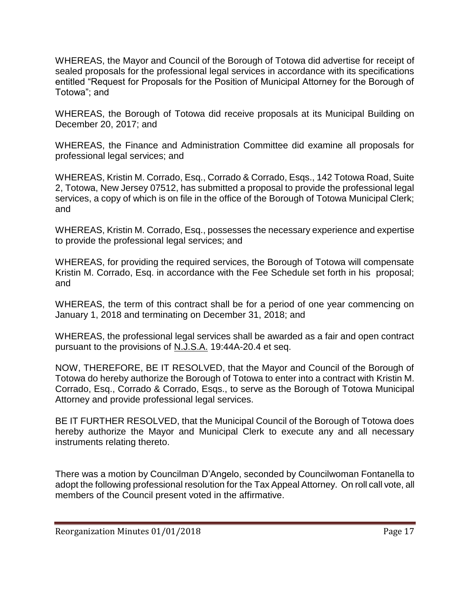WHEREAS, the Mayor and Council of the Borough of Totowa did advertise for receipt of sealed proposals for the professional legal services in accordance with its specifications entitled "Request for Proposals for the Position of Municipal Attorney for the Borough of Totowa"; and

WHEREAS, the Borough of Totowa did receive proposals at its Municipal Building on December 20, 2017; and

WHEREAS, the Finance and Administration Committee did examine all proposals for professional legal services; and

WHEREAS, Kristin M. Corrado, Esq., Corrado & Corrado, Esqs., 142 Totowa Road, Suite 2, Totowa, New Jersey 07512, has submitted a proposal to provide the professional legal services, a copy of which is on file in the office of the Borough of Totowa Municipal Clerk; and

WHEREAS, Kristin M. Corrado, Esq., possesses the necessary experience and expertise to provide the professional legal services; and

WHEREAS, for providing the required services, the Borough of Totowa will compensate Kristin M. Corrado, Esq. in accordance with the Fee Schedule set forth in his proposal; and

WHEREAS, the term of this contract shall be for a period of one year commencing on January 1, 2018 and terminating on December 31, 2018; and

WHEREAS, the professional legal services shall be awarded as a fair and open contract pursuant to the provisions of N.J.S.A. 19:44A-20.4 et seq.

NOW, THEREFORE, BE IT RESOLVED, that the Mayor and Council of the Borough of Totowa do hereby authorize the Borough of Totowa to enter into a contract with Kristin M. Corrado, Esq., Corrado & Corrado, Esqs., to serve as the Borough of Totowa Municipal Attorney and provide professional legal services.

BE IT FURTHER RESOLVED, that the Municipal Council of the Borough of Totowa does hereby authorize the Mayor and Municipal Clerk to execute any and all necessary instruments relating thereto.

There was a motion by Councilman D'Angelo, seconded by Councilwoman Fontanella to adopt the following professional resolution for the Tax Appeal Attorney. On roll call vote, all members of the Council present voted in the affirmative.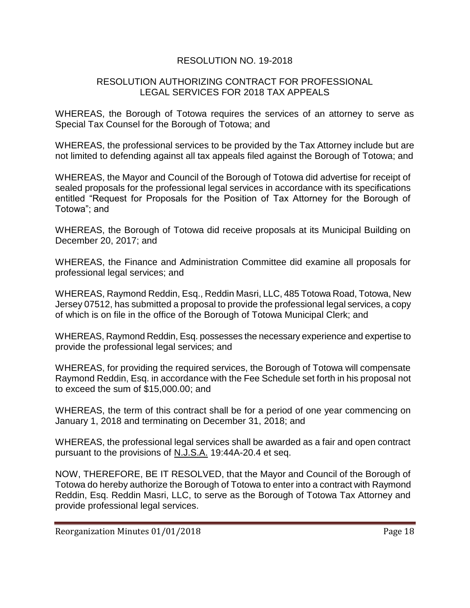# RESOLUTION NO. 19-2018

#### RESOLUTION AUTHORIZING CONTRACT FOR PROFESSIONAL LEGAL SERVICES FOR 2018 TAX APPEALS

WHEREAS, the Borough of Totowa requires the services of an attorney to serve as Special Tax Counsel for the Borough of Totowa; and

WHEREAS, the professional services to be provided by the Tax Attorney include but are not limited to defending against all tax appeals filed against the Borough of Totowa; and

WHEREAS, the Mayor and Council of the Borough of Totowa did advertise for receipt of sealed proposals for the professional legal services in accordance with its specifications entitled "Request for Proposals for the Position of Tax Attorney for the Borough of Totowa"; and

WHEREAS, the Borough of Totowa did receive proposals at its Municipal Building on December 20, 2017; and

WHEREAS, the Finance and Administration Committee did examine all proposals for professional legal services; and

WHEREAS, Raymond Reddin, Esq., Reddin Masri, LLC, 485 Totowa Road, Totowa, New Jersey 07512, has submitted a proposal to provide the professional legal services, a copy of which is on file in the office of the Borough of Totowa Municipal Clerk; and

WHEREAS, Raymond Reddin, Esq. possesses the necessary experience and expertise to provide the professional legal services; and

WHEREAS, for providing the required services, the Borough of Totowa will compensate Raymond Reddin, Esq. in accordance with the Fee Schedule set forth in his proposal not to exceed the sum of \$15,000.00; and

WHEREAS, the term of this contract shall be for a period of one year commencing on January 1, 2018 and terminating on December 31, 2018; and

WHEREAS, the professional legal services shall be awarded as a fair and open contract pursuant to the provisions of N.J.S.A. 19:44A-20.4 et seq.

NOW, THEREFORE, BE IT RESOLVED, that the Mayor and Council of the Borough of Totowa do hereby authorize the Borough of Totowa to enter into a contract with Raymond Reddin, Esq. Reddin Masri, LLC, to serve as the Borough of Totowa Tax Attorney and provide professional legal services.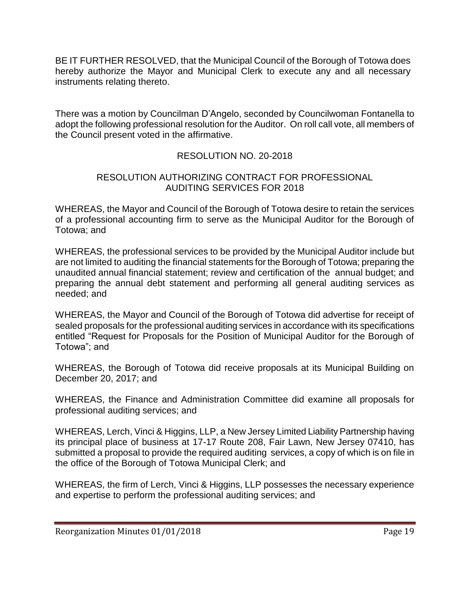BE IT FURTHER RESOLVED, that the Municipal Council of the Borough of Totowa does hereby authorize the Mayor and Municipal Clerk to execute any and all necessary instruments relating thereto.

There was a motion by Councilman D'Angelo, seconded by Councilwoman Fontanella to adopt the following professional resolution for the Auditor. On roll call vote, all members of the Council present voted in the affirmative.

# RESOLUTION NO. 20-2018

## RESOLUTION AUTHORIZING CONTRACT FOR PROFESSIONAL AUDITING SERVICES FOR 2018

WHEREAS, the Mayor and Council of the Borough of Totowa desire to retain the services of a professional accounting firm to serve as the Municipal Auditor for the Borough of Totowa; and

WHEREAS, the professional services to be provided by the Municipal Auditor include but are not limited to auditing the financial statements for the Borough of Totowa; preparing the unaudited annual financial statement; review and certification of the annual budget; and preparing the annual debt statement and performing all general auditing services as needed; and

WHEREAS, the Mayor and Council of the Borough of Totowa did advertise for receipt of sealed proposals for the professional auditing services in accordance with its specifications entitled "Request for Proposals for the Position of Municipal Auditor for the Borough of Totowa"; and

WHEREAS, the Borough of Totowa did receive proposals at its Municipal Building on December 20, 2017; and

WHEREAS, the Finance and Administration Committee did examine all proposals for professional auditing services; and

WHEREAS, Lerch, Vinci & Higgins, LLP, a New Jersey Limited Liability Partnership having its principal place of business at 17-17 Route 208, Fair Lawn, New Jersey 07410, has submitted a proposal to provide the required auditing services, a copy of which is on file in the office of the Borough of Totowa Municipal Clerk; and

WHEREAS, the firm of Lerch, Vinci & Higgins, LLP possesses the necessary experience and expertise to perform the professional auditing services; and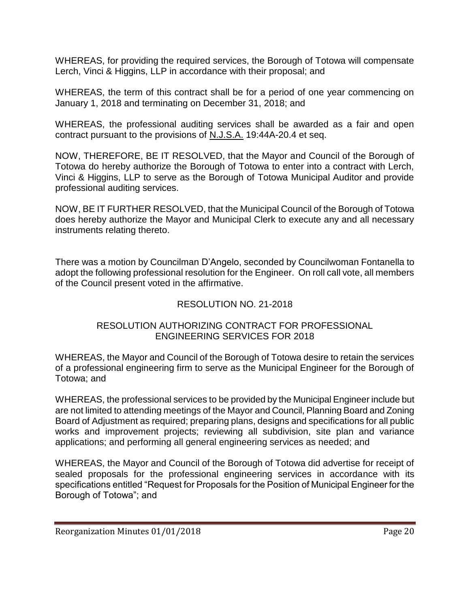WHEREAS, for providing the required services, the Borough of Totowa will compensate Lerch, Vinci & Higgins, LLP in accordance with their proposal; and

WHEREAS, the term of this contract shall be for a period of one year commencing on January 1, 2018 and terminating on December 31, 2018; and

WHEREAS, the professional auditing services shall be awarded as a fair and open contract pursuant to the provisions of N.J.S.A. 19:44A-20.4 et seq.

NOW, THEREFORE, BE IT RESOLVED, that the Mayor and Council of the Borough of Totowa do hereby authorize the Borough of Totowa to enter into a contract with Lerch, Vinci & Higgins, LLP to serve as the Borough of Totowa Municipal Auditor and provide professional auditing services.

NOW, BE IT FURTHER RESOLVED, that the Municipal Council of the Borough of Totowa does hereby authorize the Mayor and Municipal Clerk to execute any and all necessary instruments relating thereto.

There was a motion by Councilman D'Angelo, seconded by Councilwoman Fontanella to adopt the following professional resolution for the Engineer. On roll call vote, all members of the Council present voted in the affirmative.

# RESOLUTION NO. 21-2018

#### RESOLUTION AUTHORIZING CONTRACT FOR PROFESSIONAL ENGINEERING SERVICES FOR 2018

WHEREAS, the Mayor and Council of the Borough of Totowa desire to retain the services of a professional engineering firm to serve as the Municipal Engineer for the Borough of Totowa; and

WHEREAS, the professional services to be provided by the Municipal Engineer include but are not limited to attending meetings of the Mayor and Council, Planning Board and Zoning Board of Adjustment as required; preparing plans, designs and specifications for all public works and improvement projects; reviewing all subdivision, site plan and variance applications; and performing all general engineering services as needed; and

WHEREAS, the Mayor and Council of the Borough of Totowa did advertise for receipt of sealed proposals for the professional engineering services in accordance with its specifications entitled "Request for Proposals for the Position of Municipal Engineer for the Borough of Totowa"; and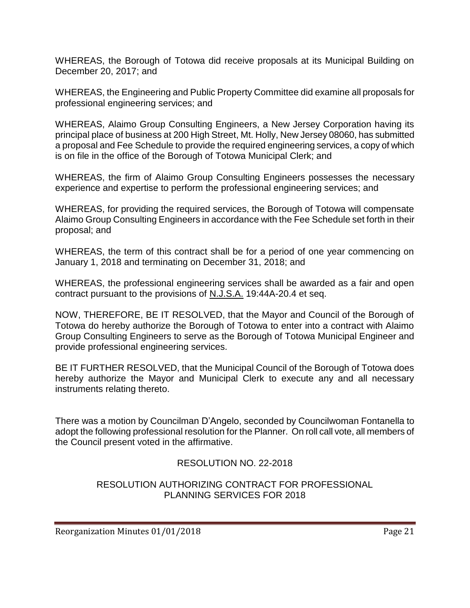WHEREAS, the Borough of Totowa did receive proposals at its Municipal Building on December 20, 2017; and

WHEREAS, the Engineering and Public Property Committee did examine all proposals for professional engineering services; and

WHEREAS, Alaimo Group Consulting Engineers, a New Jersey Corporation having its principal place of business at 200 High Street, Mt. Holly, New Jersey 08060, has submitted a proposal and Fee Schedule to provide the required engineering services, a copy of which is on file in the office of the Borough of Totowa Municipal Clerk; and

WHEREAS, the firm of Alaimo Group Consulting Engineers possesses the necessary experience and expertise to perform the professional engineering services; and

WHEREAS, for providing the required services, the Borough of Totowa will compensate Alaimo Group Consulting Engineers in accordance with the Fee Schedule set forth in their proposal; and

WHEREAS, the term of this contract shall be for a period of one year commencing on January 1, 2018 and terminating on December 31, 2018; and

WHEREAS, the professional engineering services shall be awarded as a fair and open contract pursuant to the provisions of N.J.S.A. 19:44A-20.4 et seq.

NOW, THEREFORE, BE IT RESOLVED, that the Mayor and Council of the Borough of Totowa do hereby authorize the Borough of Totowa to enter into a contract with Alaimo Group Consulting Engineers to serve as the Borough of Totowa Municipal Engineer and provide professional engineering services.

BE IT FURTHER RESOLVED, that the Municipal Council of the Borough of Totowa does hereby authorize the Mayor and Municipal Clerk to execute any and all necessary instruments relating thereto.

There was a motion by Councilman D'Angelo, seconded by Councilwoman Fontanella to adopt the following professional resolution for the Planner. On roll call vote, all members of the Council present voted in the affirmative.

# RESOLUTION NO. 22-2018

#### RESOLUTION AUTHORIZING CONTRACT FOR PROFESSIONAL PLANNING SERVICES FOR 2018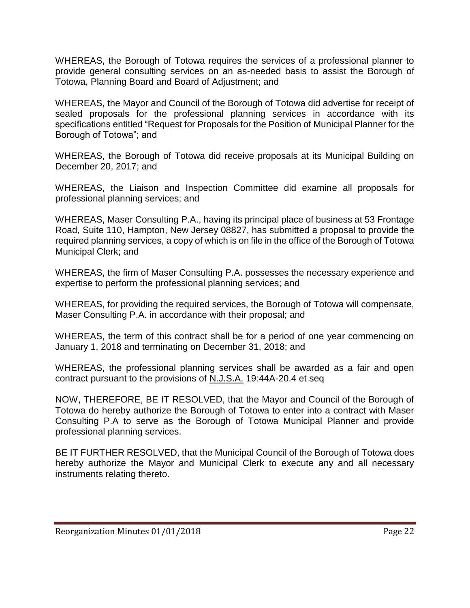WHEREAS, the Borough of Totowa requires the services of a professional planner to provide general consulting services on an as-needed basis to assist the Borough of Totowa, Planning Board and Board of Adjustment; and

WHEREAS, the Mayor and Council of the Borough of Totowa did advertise for receipt of sealed proposals for the professional planning services in accordance with its specifications entitled "Request for Proposals for the Position of Municipal Planner for the Borough of Totowa"; and

WHEREAS, the Borough of Totowa did receive proposals at its Municipal Building on December 20, 2017; and

WHEREAS, the Liaison and Inspection Committee did examine all proposals for professional planning services; and

WHEREAS, Maser Consulting P.A., having its principal place of business at 53 Frontage Road, Suite 110, Hampton, New Jersey 08827, has submitted a proposal to provide the required planning services, a copy of which is on file in the office of the Borough of Totowa Municipal Clerk; and

WHEREAS, the firm of Maser Consulting P.A. possesses the necessary experience and expertise to perform the professional planning services; and

WHEREAS, for providing the required services, the Borough of Totowa will compensate, Maser Consulting P.A. in accordance with their proposal; and

WHEREAS, the term of this contract shall be for a period of one year commencing on January 1, 2018 and terminating on December 31, 2018; and

WHEREAS, the professional planning services shall be awarded as a fair and open contract pursuant to the provisions of N.J.S.A. 19:44A-20.4 et seq

NOW, THEREFORE, BE IT RESOLVED, that the Mayor and Council of the Borough of Totowa do hereby authorize the Borough of Totowa to enter into a contract with Maser Consulting P.A to serve as the Borough of Totowa Municipal Planner and provide professional planning services.

BE IT FURTHER RESOLVED, that the Municipal Council of the Borough of Totowa does hereby authorize the Mayor and Municipal Clerk to execute any and all necessary instruments relating thereto.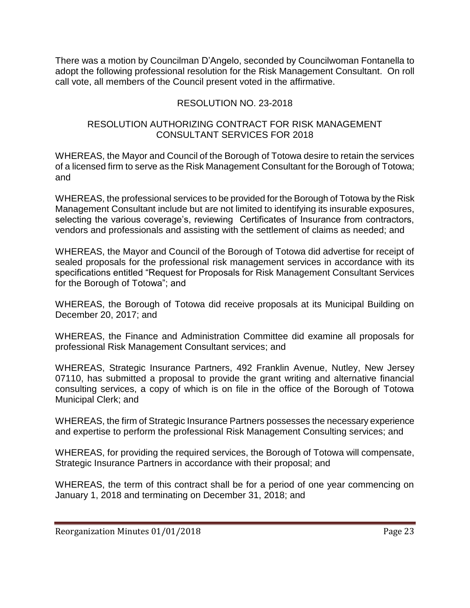There was a motion by Councilman D'Angelo, seconded by Councilwoman Fontanella to adopt the following professional resolution for the Risk Management Consultant. On roll call vote, all members of the Council present voted in the affirmative.

# RESOLUTION NO. 23-2018

#### RESOLUTION AUTHORIZING CONTRACT FOR RISK MANAGEMENT CONSULTANT SERVICES FOR 2018

WHEREAS, the Mayor and Council of the Borough of Totowa desire to retain the services of a licensed firm to serve as the Risk Management Consultant for the Borough of Totowa; and

WHEREAS, the professional services to be provided for the Borough of Totowa by the Risk Management Consultant include but are not limited to identifying its insurable exposures, selecting the various coverage's, reviewing Certificates of Insurance from contractors, vendors and professionals and assisting with the settlement of claims as needed; and

WHEREAS, the Mayor and Council of the Borough of Totowa did advertise for receipt of sealed proposals for the professional risk management services in accordance with its specifications entitled "Request for Proposals for Risk Management Consultant Services for the Borough of Totowa"; and

WHEREAS, the Borough of Totowa did receive proposals at its Municipal Building on December 20, 2017; and

WHEREAS, the Finance and Administration Committee did examine all proposals for professional Risk Management Consultant services; and

WHEREAS, Strategic Insurance Partners, 492 Franklin Avenue, Nutley, New Jersey 07110, has submitted a proposal to provide the grant writing and alternative financial consulting services, a copy of which is on file in the office of the Borough of Totowa Municipal Clerk; and

WHEREAS, the firm of Strategic Insurance Partners possesses the necessary experience and expertise to perform the professional Risk Management Consulting services; and

WHEREAS, for providing the required services, the Borough of Totowa will compensate, Strategic Insurance Partners in accordance with their proposal; and

WHEREAS, the term of this contract shall be for a period of one year commencing on January 1, 2018 and terminating on December 31, 2018; and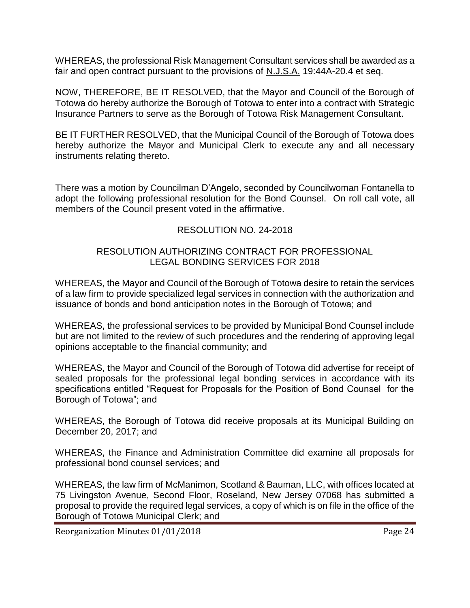WHEREAS, the professional Risk Management Consultant services shall be awarded as a fair and open contract pursuant to the provisions of N.J.S.A. 19:44A-20.4 et seq.

NOW, THEREFORE, BE IT RESOLVED, that the Mayor and Council of the Borough of Totowa do hereby authorize the Borough of Totowa to enter into a contract with Strategic Insurance Partners to serve as the Borough of Totowa Risk Management Consultant.

BE IT FURTHER RESOLVED, that the Municipal Council of the Borough of Totowa does hereby authorize the Mayor and Municipal Clerk to execute any and all necessary instruments relating thereto.

There was a motion by Councilman D'Angelo, seconded by Councilwoman Fontanella to adopt the following professional resolution for the Bond Counsel. On roll call vote, all members of the Council present voted in the affirmative.

# RESOLUTION NO. 24-2018

## RESOLUTION AUTHORIZING CONTRACT FOR PROFESSIONAL LEGAL BONDING SERVICES FOR 2018

WHEREAS, the Mayor and Council of the Borough of Totowa desire to retain the services of a law firm to provide specialized legal services in connection with the authorization and issuance of bonds and bond anticipation notes in the Borough of Totowa; and

WHEREAS, the professional services to be provided by Municipal Bond Counsel include but are not limited to the review of such procedures and the rendering of approving legal opinions acceptable to the financial community; and

WHEREAS, the Mayor and Council of the Borough of Totowa did advertise for receipt of sealed proposals for the professional legal bonding services in accordance with its specifications entitled "Request for Proposals for the Position of Bond Counsel for the Borough of Totowa"; and

WHEREAS, the Borough of Totowa did receive proposals at its Municipal Building on December 20, 2017; and

WHEREAS, the Finance and Administration Committee did examine all proposals for professional bond counsel services; and

WHEREAS, the law firm of McManimon, Scotland & Bauman, LLC, with offices located at 75 Livingston Avenue, Second Floor, Roseland, New Jersey 07068 has submitted a proposal to provide the required legal services, a copy of which is on file in the office of the Borough of Totowa Municipal Clerk; and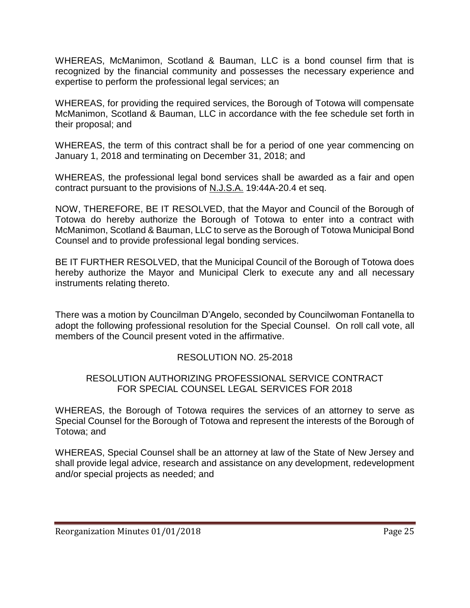WHEREAS, McManimon, Scotland & Bauman, LLC is a bond counsel firm that is recognized by the financial community and possesses the necessary experience and expertise to perform the professional legal services; an

WHEREAS, for providing the required services, the Borough of Totowa will compensate McManimon, Scotland & Bauman, LLC in accordance with the fee schedule set forth in their proposal; and

WHEREAS, the term of this contract shall be for a period of one year commencing on January 1, 2018 and terminating on December 31, 2018; and

WHEREAS, the professional legal bond services shall be awarded as a fair and open contract pursuant to the provisions of N.J.S.A. 19:44A-20.4 et seq.

NOW, THEREFORE, BE IT RESOLVED, that the Mayor and Council of the Borough of Totowa do hereby authorize the Borough of Totowa to enter into a contract with McManimon, Scotland & Bauman, LLC to serve as the Borough of Totowa Municipal Bond Counsel and to provide professional legal bonding services.

BE IT FURTHER RESOLVED, that the Municipal Council of the Borough of Totowa does hereby authorize the Mayor and Municipal Clerk to execute any and all necessary instruments relating thereto.

There was a motion by Councilman D'Angelo, seconded by Councilwoman Fontanella to adopt the following professional resolution for the Special Counsel. On roll call vote, all members of the Council present voted in the affirmative.

# RESOLUTION NO. 25-2018

#### RESOLUTION AUTHORIZING PROFESSIONAL SERVICE CONTRACT FOR SPECIAL COUNSEL LEGAL SERVICES FOR 2018

WHEREAS, the Borough of Totowa requires the services of an attorney to serve as Special Counsel for the Borough of Totowa and represent the interests of the Borough of Totowa; and

WHEREAS, Special Counsel shall be an attorney at law of the State of New Jersey and shall provide legal advice, research and assistance on any development, redevelopment and/or special projects as needed; and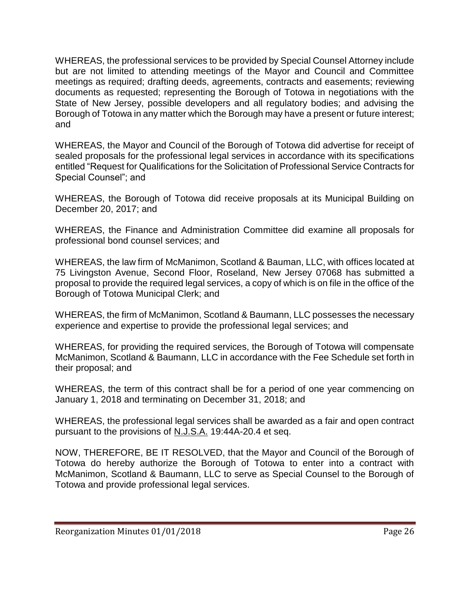WHEREAS, the professional services to be provided by Special Counsel Attorney include but are not limited to attending meetings of the Mayor and Council and Committee meetings as required; drafting deeds, agreements, contracts and easements; reviewing documents as requested; representing the Borough of Totowa in negotiations with the State of New Jersey, possible developers and all regulatory bodies; and advising the Borough of Totowa in any matter which the Borough may have a present or future interest; and

WHEREAS, the Mayor and Council of the Borough of Totowa did advertise for receipt of sealed proposals for the professional legal services in accordance with its specifications entitled "Request for Qualifications for the Solicitation of Professional Service Contracts for Special Counsel"; and

WHEREAS, the Borough of Totowa did receive proposals at its Municipal Building on December 20, 2017; and

WHEREAS, the Finance and Administration Committee did examine all proposals for professional bond counsel services; and

WHEREAS, the law firm of McManimon, Scotland & Bauman, LLC, with offices located at 75 Livingston Avenue, Second Floor, Roseland, New Jersey 07068 has submitted a proposal to provide the required legal services, a copy of which is on file in the office of the Borough of Totowa Municipal Clerk; and

WHEREAS, the firm of McManimon, Scotland & Baumann, LLC possesses the necessary experience and expertise to provide the professional legal services; and

WHEREAS, for providing the required services, the Borough of Totowa will compensate McManimon, Scotland & Baumann, LLC in accordance with the Fee Schedule set forth in their proposal; and

WHEREAS, the term of this contract shall be for a period of one year commencing on January 1, 2018 and terminating on December 31, 2018; and

WHEREAS, the professional legal services shall be awarded as a fair and open contract pursuant to the provisions of N.J.S.A. 19:44A-20.4 et seq.

NOW, THEREFORE, BE IT RESOLVED, that the Mayor and Council of the Borough of Totowa do hereby authorize the Borough of Totowa to enter into a contract with McManimon, Scotland & Baumann, LLC to serve as Special Counsel to the Borough of Totowa and provide professional legal services.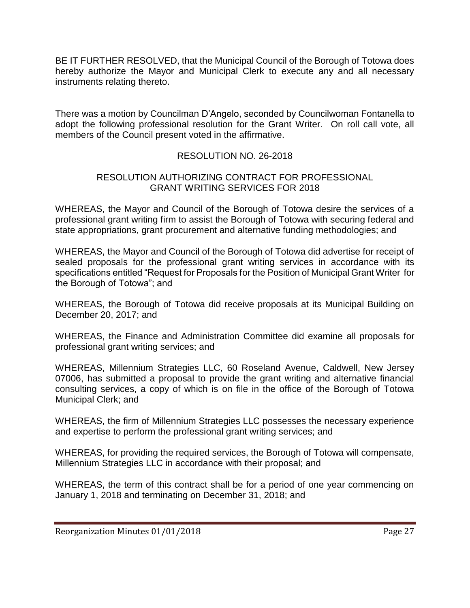BE IT FURTHER RESOLVED, that the Municipal Council of the Borough of Totowa does hereby authorize the Mayor and Municipal Clerk to execute any and all necessary instruments relating thereto.

There was a motion by Councilman D'Angelo, seconded by Councilwoman Fontanella to adopt the following professional resolution for the Grant Writer. On roll call vote, all members of the Council present voted in the affirmative.

# RESOLUTION NO. 26-2018

## RESOLUTION AUTHORIZING CONTRACT FOR PROFESSIONAL GRANT WRITING SERVICES FOR 2018

WHEREAS, the Mayor and Council of the Borough of Totowa desire the services of a professional grant writing firm to assist the Borough of Totowa with securing federal and state appropriations, grant procurement and alternative funding methodologies; and

WHEREAS, the Mayor and Council of the Borough of Totowa did advertise for receipt of sealed proposals for the professional grant writing services in accordance with its specifications entitled "Request for Proposals for the Position of Municipal Grant Writer for the Borough of Totowa"; and

WHEREAS, the Borough of Totowa did receive proposals at its Municipal Building on December 20, 2017; and

WHEREAS, the Finance and Administration Committee did examine all proposals for professional grant writing services; and

WHEREAS, Millennium Strategies LLC, 60 Roseland Avenue, Caldwell, New Jersey 07006, has submitted a proposal to provide the grant writing and alternative financial consulting services, a copy of which is on file in the office of the Borough of Totowa Municipal Clerk; and

WHEREAS, the firm of Millennium Strategies LLC possesses the necessary experience and expertise to perform the professional grant writing services; and

WHEREAS, for providing the required services, the Borough of Totowa will compensate, Millennium Strategies LLC in accordance with their proposal; and

WHEREAS, the term of this contract shall be for a period of one year commencing on January 1, 2018 and terminating on December 31, 2018; and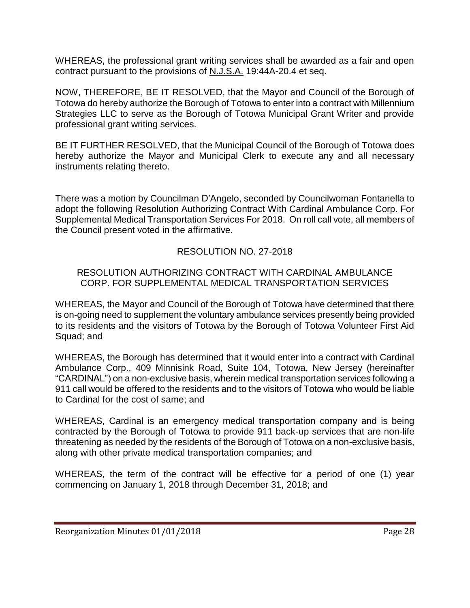WHEREAS, the professional grant writing services shall be awarded as a fair and open contract pursuant to the provisions of N.J.S.A. 19:44A-20.4 et seq.

NOW, THEREFORE, BE IT RESOLVED, that the Mayor and Council of the Borough of Totowa do hereby authorize the Borough of Totowa to enter into a contract with Millennium Strategies LLC to serve as the Borough of Totowa Municipal Grant Writer and provide professional grant writing services.

BE IT FURTHER RESOLVED, that the Municipal Council of the Borough of Totowa does hereby authorize the Mayor and Municipal Clerk to execute any and all necessary instruments relating thereto.

There was a motion by Councilman D'Angelo, seconded by Councilwoman Fontanella to adopt the following Resolution Authorizing Contract With Cardinal Ambulance Corp. For Supplemental Medical Transportation Services For 2018. On roll call vote, all members of the Council present voted in the affirmative.

# RESOLUTION NO. 27-2018

#### RESOLUTION AUTHORIZING CONTRACT WITH CARDINAL AMBULANCE CORP. FOR SUPPLEMENTAL MEDICAL TRANSPORTATION SERVICES

WHEREAS, the Mayor and Council of the Borough of Totowa have determined that there is on-going need to supplement the voluntary ambulance services presently being provided to its residents and the visitors of Totowa by the Borough of Totowa Volunteer First Aid Squad; and

WHEREAS, the Borough has determined that it would enter into a contract with Cardinal Ambulance Corp., 409 Minnisink Road, Suite 104, Totowa, New Jersey (hereinafter "CARDINAL") on a non-exclusive basis, wherein medical transportation services following a 911 call would be offered to the residents and to the visitors of Totowa who would be liable to Cardinal for the cost of same; and

WHEREAS, Cardinal is an emergency medical transportation company and is being contracted by the Borough of Totowa to provide 911 back-up services that are non-life threatening as needed by the residents of the Borough of Totowa on a non-exclusive basis, along with other private medical transportation companies; and

WHEREAS, the term of the contract will be effective for a period of one (1) year commencing on January 1, 2018 through December 31, 2018; and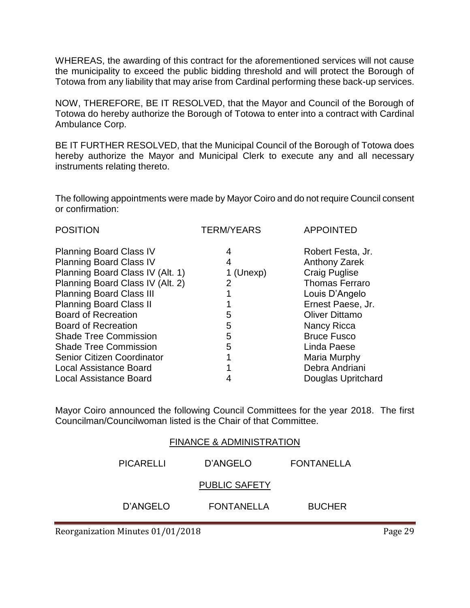WHEREAS, the awarding of this contract for the aforementioned services will not cause the municipality to exceed the public bidding threshold and will protect the Borough of Totowa from any liability that may arise from Cardinal performing these back-up services.

NOW, THEREFORE, BE IT RESOLVED, that the Mayor and Council of the Borough of Totowa do hereby authorize the Borough of Totowa to enter into a contract with Cardinal Ambulance Corp.

BE IT FURTHER RESOLVED, that the Municipal Council of the Borough of Totowa does hereby authorize the Mayor and Municipal Clerk to execute any and all necessary instruments relating thereto.

The following appointments were made by Mayor Coiro and do not require Council consent or confirmation:

| <b>POSITION</b>                   | <b>TERM/YEARS</b> | <b>APPOINTED</b>      |
|-----------------------------------|-------------------|-----------------------|
| <b>Planning Board Class IV</b>    | 4                 | Robert Festa, Jr.     |
| <b>Planning Board Class IV</b>    | 4                 | Anthony Zarek         |
| Planning Board Class IV (Alt. 1)  | 1 (Unexp)         | <b>Craig Puglise</b>  |
| Planning Board Class IV (Alt. 2)  | 2                 | <b>Thomas Ferraro</b> |
| <b>Planning Board Class III</b>   |                   | Louis D'Angelo        |
| <b>Planning Board Class II</b>    |                   | Ernest Paese, Jr.     |
| <b>Board of Recreation</b>        | 5                 | <b>Oliver Dittamo</b> |
| <b>Board of Recreation</b>        | 5                 | Nancy Ricca           |
| <b>Shade Tree Commission</b>      | 5                 | <b>Bruce Fusco</b>    |
| <b>Shade Tree Commission</b>      | 5                 | Linda Paese           |
| <b>Senior Citizen Coordinator</b> |                   | Maria Murphy          |
| <b>Local Assistance Board</b>     |                   | Debra Andriani        |
| <b>Local Assistance Board</b>     |                   | Douglas Upritchard    |
|                                   |                   |                       |

Mayor Coiro announced the following Council Committees for the year 2018. The first Councilman/Councilwoman listed is the Chair of that Committee.

| <b>FINANCE &amp; ADMINISTRATION</b> |                      |               |  |
|-------------------------------------|----------------------|---------------|--|
| PICARELLI                           | D'ANGELO             | FONTANELLA    |  |
|                                     | <b>PUBLIC SAFETY</b> |               |  |
| D'ANGELO                            | FONTANELLA           | <b>BUCHER</b> |  |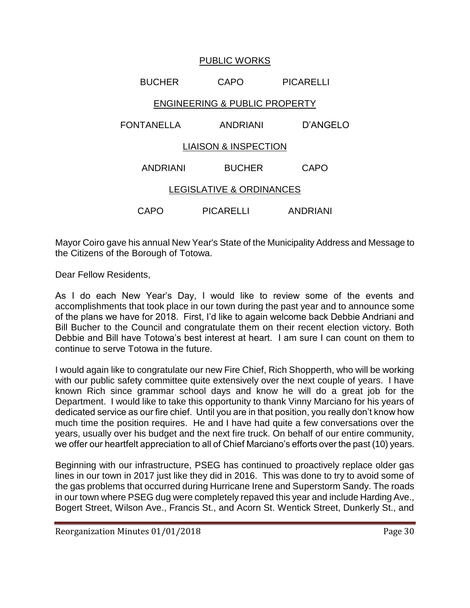## PUBLIC WORKS

# BUCHER CAPO PICARELLI

# ENGINEERING & PUBLIC PROPERTY

# FONTANELLA ANDRIANI D'ANGELO

#### LIAISON & INSPECTION

| ANDRIANI                 | <b>BUCHER</b> | CAPO |  |
|--------------------------|---------------|------|--|
| LEGISLATIVE & ORDINANCES |               |      |  |

CAPO PICARELLI ANDRIANI

Mayor Coiro gave his annual New Year's State of the Municipality Address and Message to the Citizens of the Borough of Totowa.

Dear Fellow Residents,

As I do each New Year's Day, I would like to review some of the events and accomplishments that took place in our town during the past year and to announce some of the plans we have for 2018. First, I'd like to again welcome back Debbie Andriani and Bill Bucher to the Council and congratulate them on their recent election victory. Both Debbie and Bill have Totowa's best interest at heart. I am sure I can count on them to continue to serve Totowa in the future.

I would again like to congratulate our new Fire Chief, Rich Shopperth, who will be working with our public safety committee quite extensively over the next couple of years. I have known Rich since grammar school days and know he will do a great job for the Department. I would like to take this opportunity to thank Vinny Marciano for his years of dedicated service as our fire chief. Until you are in that position, you really don't know how much time the position requires. He and I have had quite a few conversations over the years, usually over his budget and the next fire truck. On behalf of our entire community, we offer our heartfelt appreciation to all of Chief Marciano's efforts over the past (10) years.

Beginning with our infrastructure, PSEG has continued to proactively replace older gas lines in our town in 2017 just like they did in 2016. This was done to try to avoid some of the gas problems that occurred during Hurricane Irene and Superstorm Sandy. The roads in our town where PSEG dug were completely repaved this year and include Harding Ave., Bogert Street, Wilson Ave., Francis St., and Acorn St. Wentick Street, Dunkerly St., and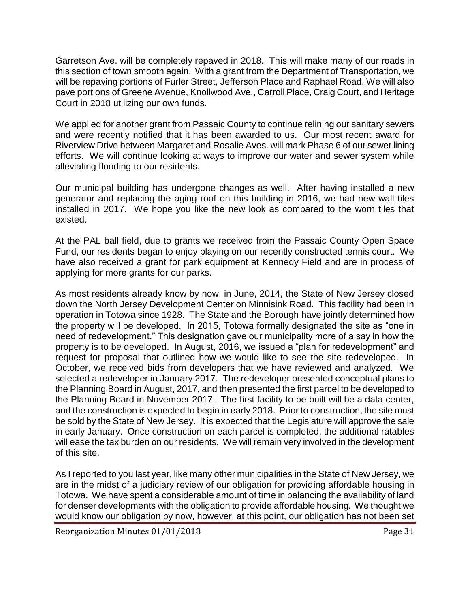Garretson Ave. will be completely repaved in 2018. This will make many of our roads in this section of town smooth again. With a grant from the Department of Transportation, we will be repaving portions of Furler Street, Jefferson Place and Raphael Road. We will also pave portions of Greene Avenue, Knollwood Ave., Carroll Place, Craig Court, and Heritage Court in 2018 utilizing our own funds.

We applied for another grant from Passaic County to continue relining our sanitary sewers and were recently notified that it has been awarded to us. Our most recent award for Riverview Drive between Margaret and Rosalie Aves. will mark Phase 6 of our sewer lining efforts. We will continue looking at ways to improve our water and sewer system while alleviating flooding to our residents.

Our municipal building has undergone changes as well. After having installed a new generator and replacing the aging roof on this building in 2016, we had new wall tiles installed in 2017. We hope you like the new look as compared to the worn tiles that existed.

At the PAL ball field, due to grants we received from the Passaic County Open Space Fund, our residents began to enjoy playing on our recently constructed tennis court. We have also received a grant for park equipment at Kennedy Field and are in process of applying for more grants for our parks.

As most residents already know by now, in June, 2014, the State of New Jersey closed down the North Jersey Development Center on Minnisink Road. This facility had been in operation in Totowa since 1928. The State and the Borough have jointly determined how the property will be developed. In 2015, Totowa formally designated the site as "one in need of redevelopment." This designation gave our municipality more of a say in how the property is to be developed. In August, 2016, we issued a "plan for redevelopment" and request for proposal that outlined how we would like to see the site redeveloped. In October, we received bids from developers that we have reviewed and analyzed. We selected a redeveloper in January 2017. The redeveloper presented conceptual plans to the Planning Board in August, 2017, and then presented the first parcel to be developed to the Planning Board in November 2017. The first facility to be built will be a data center, and the construction is expected to begin in early 2018. Prior to construction, the site must be sold by the State of New Jersey. It is expected that the Legislature will approve the sale in early January. Once construction on each parcel is completed, the additional ratables will ease the tax burden on our residents. We will remain very involved in the development of this site.

As I reported to you last year, like many other municipalities in the State of New Jersey, we are in the midst of a judiciary review of our obligation for providing affordable housing in Totowa. We have spent a considerable amount of time in balancing the availability of land for denser developments with the obligation to provide affordable housing. We thought we would know our obligation by now, however, at this point, our obligation has not been set

Reorganization Minutes 01/01/2018